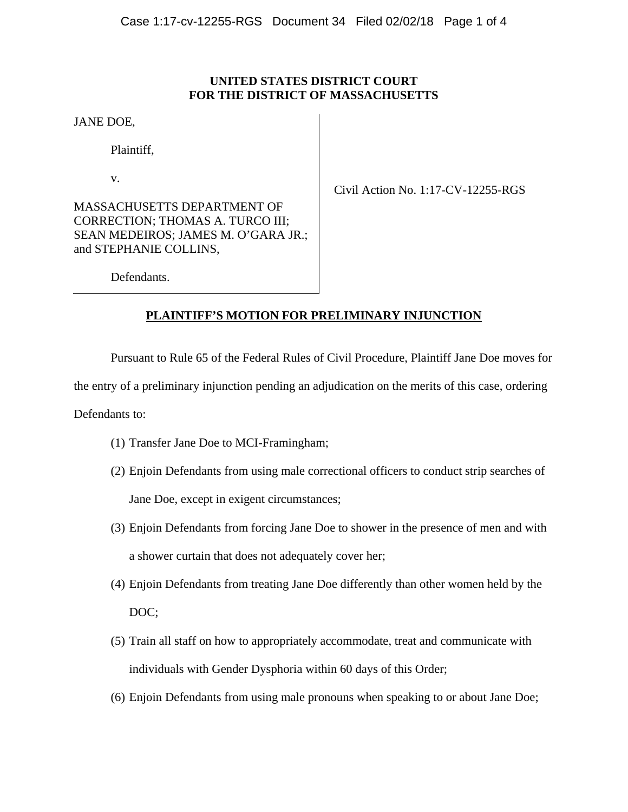## **UNITED STATES DISTRICT COURT FOR THE DISTRICT OF MASSACHUSETTS**

JANE DOE,

Plaintiff,

v.

MASSACHUSETTS DEPARTMENT OF CORRECTION; THOMAS A. TURCO III; SEAN MEDEIROS; JAMES M. O'GARA JR.; and STEPHANIE COLLINS,

Civil Action No. 1:17-CV-12255-RGS

Defendants.

## **PLAINTIFF'S MOTION FOR PRELIMINARY INJUNCTION**

Pursuant to Rule 65 of the Federal Rules of Civil Procedure, Plaintiff Jane Doe moves for

the entry of a preliminary injunction pending an adjudication on the merits of this case, ordering

Defendants to:

- (1) Transfer Jane Doe to MCI-Framingham;
- (2) Enjoin Defendants from using male correctional officers to conduct strip searches of Jane Doe, except in exigent circumstances;
- (3) Enjoin Defendants from forcing Jane Doe to shower in the presence of men and with a shower curtain that does not adequately cover her;
- (4) Enjoin Defendants from treating Jane Doe differently than other women held by the DOC;
- (5) Train all staff on how to appropriately accommodate, treat and communicate with individuals with Gender Dysphoria within 60 days of this Order;
- (6) Enjoin Defendants from using male pronouns when speaking to or about Jane Doe;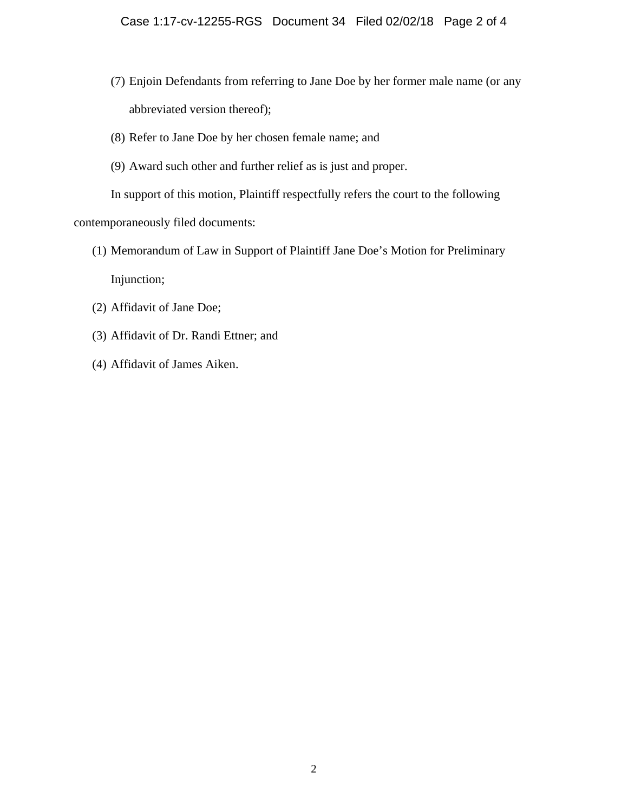- (7) Enjoin Defendants from referring to Jane Doe by her former male name (or any abbreviated version thereof);
- (8) Refer to Jane Doe by her chosen female name; and
- (9) Award such other and further relief as is just and proper.

 In support of this motion, Plaintiff respectfully refers the court to the following contemporaneously filed documents:

- (1) Memorandum of Law in Support of Plaintiff Jane Doe's Motion for Preliminary Injunction;
- (2) Affidavit of Jane Doe;
- (3) Affidavit of Dr. Randi Ettner; and
- (4) Affidavit of James Aiken.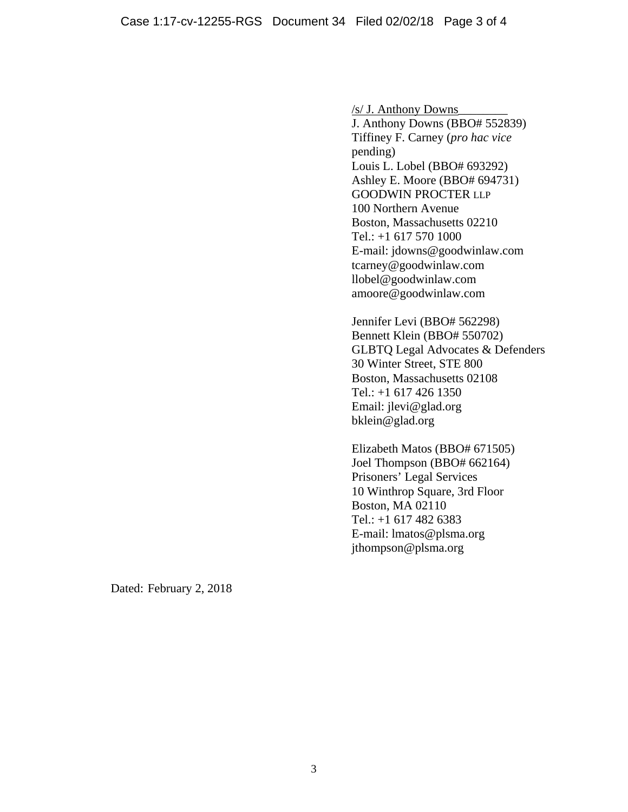/s/ J. Anthony Downs\_\_\_\_\_\_\_\_ J. Anthony Downs (BBO# 552839) Tiffiney F. Carney (*pro hac vice*  pending) Louis L. Lobel (BBO# 693292) Ashley E. Moore (BBO# 694731) GOODWIN PROCTER LLP 100 Northern Avenue Boston, Massachusetts 02210 Tel.: +1 617 570 1000 E-mail: jdowns@goodwinlaw.com tcarney@goodwinlaw.com llobel@goodwinlaw.com amoore@goodwinlaw.com

Jennifer Levi (BBO# 562298) Bennett Klein (BBO# 550702) GLBTQ Legal Advocates & Defenders 30 Winter Street, STE 800 Boston, Massachusetts 02108 Tel.: +1 617 426 1350 Email: jlevi@glad.org bklein@glad.org

Elizabeth Matos (BBO# 671505) Joel Thompson (BBO# 662164) Prisoners' Legal Services 10 Winthrop Square, 3rd Floor Boston, MA 02110 Tel.: +1 617 482 6383 E-mail: lmatos@plsma.org jthompson@plsma.org

Dated: February 2, 2018